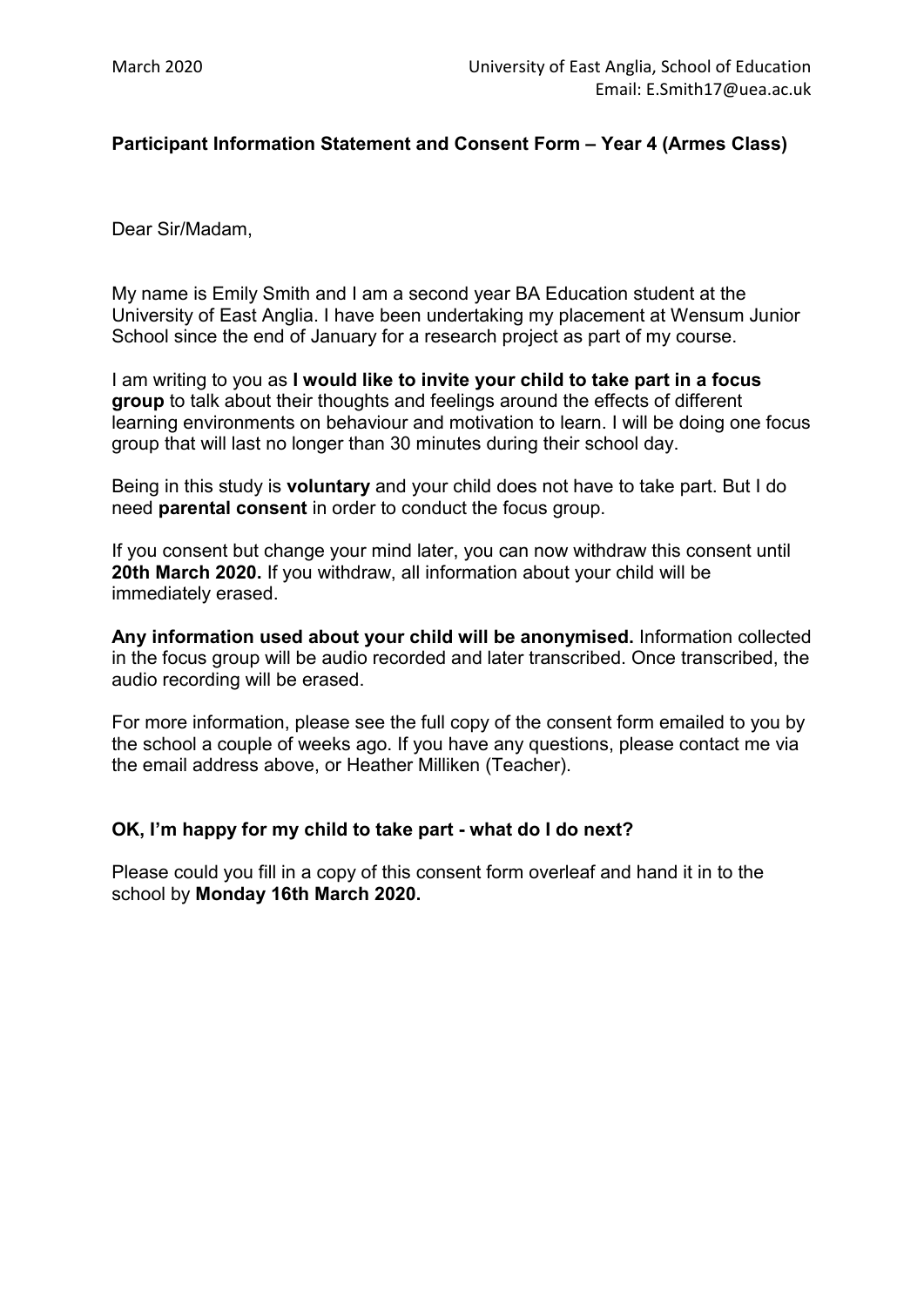## **Participant Information Statement and Consent Form – Year 4 (Armes Class)**

Dear Sir/Madam,

My name is Emily Smith and I am a second year BA Education student at the University of East Anglia. I have been undertaking my placement at Wensum Junior School since the end of January for a research project as part of my course.

I am writing to you as **I would like to invite your child to take part in a focus group** to talk about their thoughts and feelings around the effects of different learning environments on behaviour and motivation to learn. I will be doing one focus group that will last no longer than 30 minutes during their school day.

Being in this study is **voluntary** and your child does not have to take part. But I do need **parental consent** in order to conduct the focus group.

If you consent but change your mind later, you can now withdraw this consent until **20th March 2020.** If you withdraw, all information about your child will be immediately erased.

**Any information used about your child will be anonymised.** Information collected in the focus group will be audio recorded and later transcribed. Once transcribed, the audio recording will be erased.

For more information, please see the full copy of the consent form emailed to you by the school a couple of weeks ago. If you have any questions, please contact me via the email address above, or Heather Milliken (Teacher).

## **OK, I'm happy for my child to take part - what do I do next?**

Please could you fill in a copy of this consent form overleaf and hand it in to the school by **Monday 16th March 2020.**